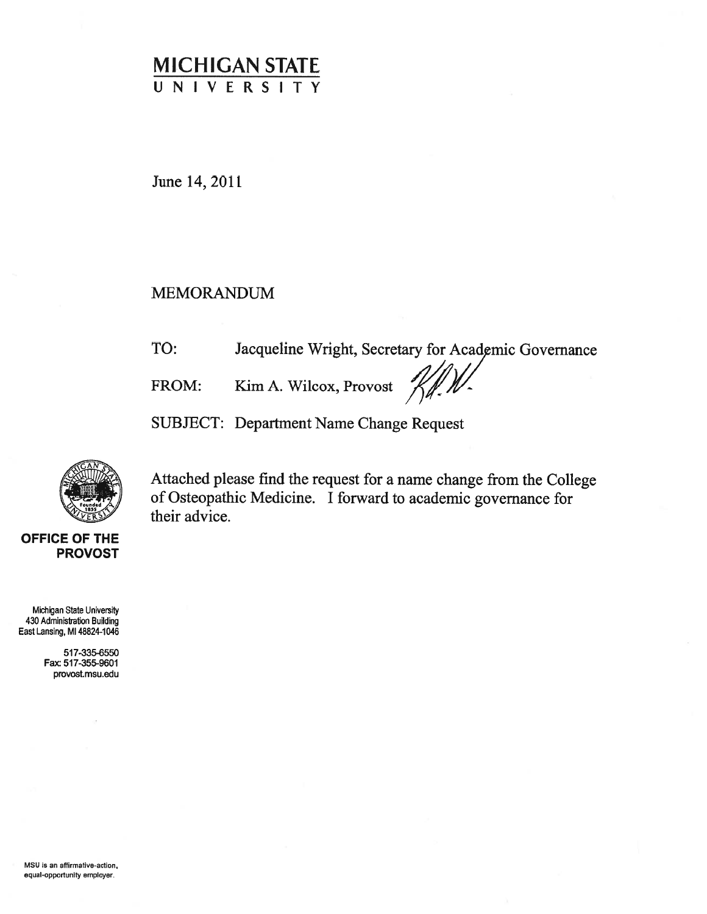# MICHIGAN STATE UNIVERSITY

June 14, 2011

### MEMORANDUM

Jacqueline Wright, Secretary for Academic Governance TO:

FROM: Kim A. Wilcox, Provost

SUBJECT: Department Name Change Request



Attached <sup>p</sup>lease find the reques<sup>t</sup> for <sup>a</sup> name change from the College of Osteopathic Medicine. <sup>I</sup> forward to academic governance for their advice.

OFFICE OF THE PROVOST

Michigan State University 430 Administration Building East Lansing, Ml 48824-1046

> 517-335-6550 Fax 517-355-9601 provost.msu.edu